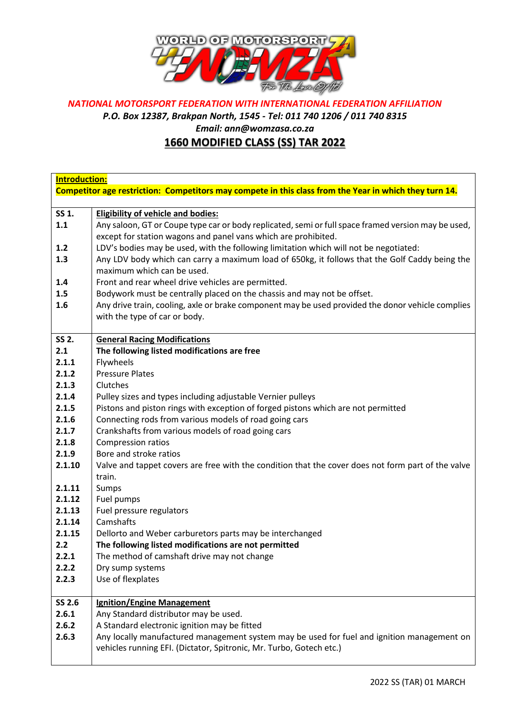

## *NATIONAL MOTORSPORT FEDERATION WITH INTERNATIONAL FEDERATION AFFILIATION*

*P.O. Box 12387, Brakpan North, 1545 - Tel: 011 740 1206 / 011 740 8315*

*Email: ann@womzasa.co.za*

## **1660 MODIFIED CLASS (SS) TAR 2022**

| Introduction:                                                                                          |                                                                                                     |  |
|--------------------------------------------------------------------------------------------------------|-----------------------------------------------------------------------------------------------------|--|
| Competitor age restriction: Competitors may compete in this class from the Year in which they turn 14. |                                                                                                     |  |
|                                                                                                        |                                                                                                     |  |
| SS 1.                                                                                                  | <b>Eligibility of vehicle and bodies:</b>                                                           |  |
| 1.1                                                                                                    | Any saloon, GT or Coupe type car or body replicated, semi or full space framed version may be used, |  |
|                                                                                                        | except for station wagons and panel vans which are prohibited.                                      |  |
| 1.2                                                                                                    | LDV's bodies may be used, with the following limitation which will not be negotiated:               |  |
| 1.3                                                                                                    | Any LDV body which can carry a maximum load of 650kg, it follows that the Golf Caddy being the      |  |
|                                                                                                        | maximum which can be used.                                                                          |  |
| 1.4                                                                                                    | Front and rear wheel drive vehicles are permitted.                                                  |  |
| 1.5                                                                                                    | Bodywork must be centrally placed on the chassis and may not be offset.                             |  |
| 1.6                                                                                                    | Any drive train, cooling, axle or brake component may be used provided the donor vehicle complies   |  |
|                                                                                                        | with the type of car or body.                                                                       |  |
| SS 2.                                                                                                  |                                                                                                     |  |
| 2.1                                                                                                    | <b>General Racing Modifications</b><br>The following listed modifications are free                  |  |
| 2.1.1                                                                                                  | Flywheels                                                                                           |  |
| 2.1.2                                                                                                  | <b>Pressure Plates</b>                                                                              |  |
| 2.1.3                                                                                                  | Clutches                                                                                            |  |
| 2.1.4                                                                                                  | Pulley sizes and types including adjustable Vernier pulleys                                         |  |
| 2.1.5                                                                                                  | Pistons and piston rings with exception of forged pistons which are not permitted                   |  |
| 2.1.6                                                                                                  | Connecting rods from various models of road going cars                                              |  |
| 2.1.7                                                                                                  | Crankshafts from various models of road going cars                                                  |  |
| 2.1.8                                                                                                  | <b>Compression ratios</b>                                                                           |  |
| 2.1.9                                                                                                  | Bore and stroke ratios                                                                              |  |
| 2.1.10                                                                                                 | Valve and tappet covers are free with the condition that the cover does not form part of the valve  |  |
|                                                                                                        | train.                                                                                              |  |
| 2.1.11                                                                                                 | Sumps                                                                                               |  |
| 2.1.12                                                                                                 | Fuel pumps                                                                                          |  |
| 2.1.13                                                                                                 | Fuel pressure regulators                                                                            |  |
| 2.1.14                                                                                                 | Camshafts                                                                                           |  |
| 2.1.15                                                                                                 | Dellorto and Weber carburetors parts may be interchanged                                            |  |
| 2.2                                                                                                    | The following listed modifications are not permitted                                                |  |
| 2.2.1                                                                                                  | The method of camshaft drive may not change                                                         |  |
| 2.2.2                                                                                                  | Dry sump systems                                                                                    |  |
| 2.2.3                                                                                                  | Use of flexplates                                                                                   |  |
|                                                                                                        |                                                                                                     |  |
| SS 2.6                                                                                                 | <b>Ignition/Engine Management</b>                                                                   |  |
| 2.6.1                                                                                                  | Any Standard distributor may be used.                                                               |  |
| 2.6.2                                                                                                  | A Standard electronic ignition may be fitted                                                        |  |
| 2.6.3                                                                                                  | Any locally manufactured management system may be used for fuel and ignition management on          |  |
|                                                                                                        | vehicles running EFI. (Dictator, Spitronic, Mr. Turbo, Gotech etc.)                                 |  |
|                                                                                                        |                                                                                                     |  |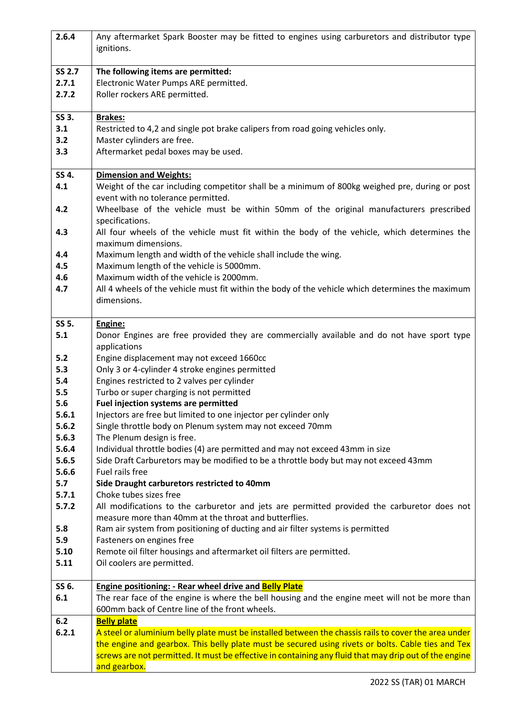| 2.6.4         | Any aftermarket Spark Booster may be fitted to engines using carburetors and distributor type                                                        |
|---------------|------------------------------------------------------------------------------------------------------------------------------------------------------|
|               | ignitions.                                                                                                                                           |
| <b>SS 2.7</b> | The following items are permitted:                                                                                                                   |
| 2.7.1         | Electronic Water Pumps ARE permitted.                                                                                                                |
| 2.7.2         | Roller rockers ARE permitted.                                                                                                                        |
| SS 3.         | <b>Brakes:</b>                                                                                                                                       |
| 3.1           | Restricted to 4,2 and single pot brake calipers from road going vehicles only.                                                                       |
| 3.2           | Master cylinders are free.                                                                                                                           |
| 3.3           | Aftermarket pedal boxes may be used.                                                                                                                 |
| SS 4.         | <b>Dimension and Weights:</b>                                                                                                                        |
| 4.1           | Weight of the car including competitor shall be a minimum of 800kg weighed pre, during or post<br>event with no tolerance permitted.                 |
| 4.2           | Wheelbase of the vehicle must be within 50mm of the original manufacturers prescribed<br>specifications.                                             |
| 4.3           | All four wheels of the vehicle must fit within the body of the vehicle, which determines the<br>maximum dimensions.                                  |
| 4.4           | Maximum length and width of the vehicle shall include the wing.                                                                                      |
| 4.5           | Maximum length of the vehicle is 5000mm.                                                                                                             |
| 4.6           | Maximum width of the vehicle is 2000mm.                                                                                                              |
| 4.7           | All 4 wheels of the vehicle must fit within the body of the vehicle which determines the maximum                                                     |
|               | dimensions.                                                                                                                                          |
| SS 5.         | Engine:                                                                                                                                              |
| 5.1           | Donor Engines are free provided they are commercially available and do not have sport type                                                           |
|               | applications                                                                                                                                         |
| 5.2           | Engine displacement may not exceed 1660cc                                                                                                            |
| 5.3           | Only 3 or 4-cylinder 4 stroke engines permitted                                                                                                      |
| 5.4<br>5.5    | Engines restricted to 2 valves per cylinder<br>Turbo or super charging is not permitted                                                              |
| 5.6           | Fuel injection systems are permitted                                                                                                                 |
| 5.6.1         | Injectors are free but limited to one injector per cylinder only                                                                                     |
| 5.6.2         | Single throttle body on Plenum system may not exceed 70mm                                                                                            |
| 5.6.3         | The Plenum design is free.                                                                                                                           |
| 5.6.4         | Individual throttle bodies (4) are permitted and may not exceed 43mm in size                                                                         |
| 5.6.5         | Side Draft Carburetors may be modified to be a throttle body but may not exceed 43mm                                                                 |
| 5.6.6         | Fuel rails free                                                                                                                                      |
| 5.7           | Side Draught carburetors restricted to 40mm                                                                                                          |
| 5.7.1         | Choke tubes sizes free                                                                                                                               |
| 5.7.2         | All modifications to the carburetor and jets are permitted provided the carburetor does not<br>measure more than 40mm at the throat and butterflies. |
| 5.8           | Ram air system from positioning of ducting and air filter systems is permitted                                                                       |
| 5.9           | Fasteners on engines free                                                                                                                            |
| 5.10          | Remote oil filter housings and aftermarket oil filters are permitted.                                                                                |
| 5.11          | Oil coolers are permitted.                                                                                                                           |
|               |                                                                                                                                                      |
| SS 6.         | <b>Engine positioning: - Rear wheel drive and Belly Plate</b>                                                                                        |
| 6.1           | The rear face of the engine is where the bell housing and the engine meet will not be more than                                                      |
|               | 600mm back of Centre line of the front wheels.                                                                                                       |
| 6.2           | <b>Belly plate</b>                                                                                                                                   |
| 6.2.1         | A steel or aluminium belly plate must be installed between the chassis rails to cover the area under                                                 |
|               | the engine and gearbox. This belly plate must be secured using rivets or bolts. Cable ties and Tex                                                   |
|               | screws are not permitted. It must be effective in containing any fluid that may drip out of the engine                                               |
|               | and gearbox.                                                                                                                                         |